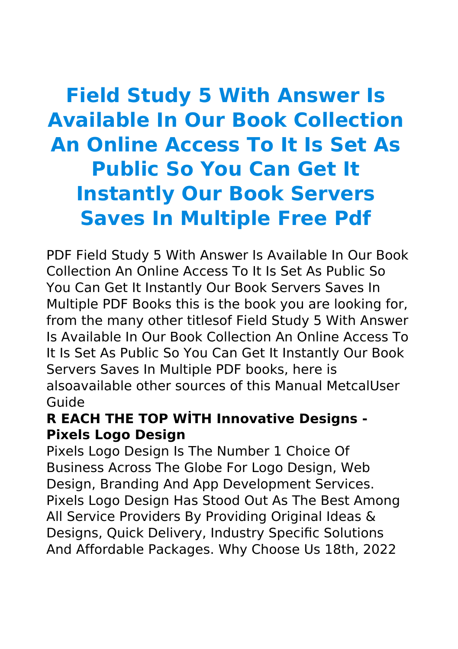# **Field Study 5 With Answer Is Available In Our Book Collection An Online Access To It Is Set As Public So You Can Get It Instantly Our Book Servers Saves In Multiple Free Pdf**

PDF Field Study 5 With Answer Is Available In Our Book Collection An Online Access To It Is Set As Public So You Can Get It Instantly Our Book Servers Saves In Multiple PDF Books this is the book you are looking for, from the many other titlesof Field Study 5 With Answer Is Available In Our Book Collection An Online Access To It Is Set As Public So You Can Get It Instantly Our Book Servers Saves In Multiple PDF books, here is alsoavailable other sources of this Manual MetcalUser Guide

## **R EACH THE TOP WİTH Innovative Designs - Pixels Logo Design**

Pixels Logo Design Is The Number 1 Choice Of Business Across The Globe For Logo Design, Web Design, Branding And App Development Services. Pixels Logo Design Has Stood Out As The Best Among All Service Providers By Providing Original Ideas & Designs, Quick Delivery, Industry Specific Solutions And Affordable Packages. Why Choose Us 18th, 2022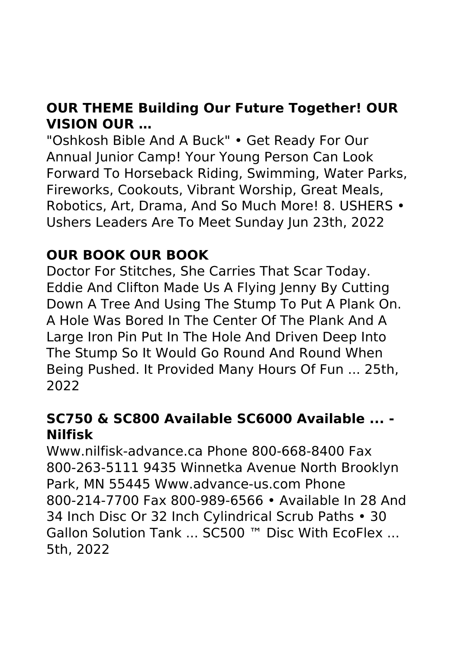# **OUR THEME Building Our Future Together! OUR VISION OUR …**

"Oshkosh Bible And A Buck" • Get Ready For Our Annual Junior Camp! Your Young Person Can Look Forward To Horseback Riding, Swimming, Water Parks, Fireworks, Cookouts, Vibrant Worship, Great Meals, Robotics, Art, Drama, And So Much More! 8. USHERS • Ushers Leaders Are To Meet Sunday Jun 23th, 2022

# **OUR BOOK OUR BOOK**

Doctor For Stitches, She Carries That Scar Today. Eddie And Clifton Made Us A Flying Jenny By Cutting Down A Tree And Using The Stump To Put A Plank On. A Hole Was Bored In The Center Of The Plank And A Large Iron Pin Put In The Hole And Driven Deep Into The Stump So It Would Go Round And Round When Being Pushed. It Provided Many Hours Of Fun ... 25th, 2022

## **SC750 & SC800 Available SC6000 Available ... - Nilfisk**

Www.nilfisk-advance.ca Phone 800-668-8400 Fax 800-263-5111 9435 Winnetka Avenue North Brooklyn Park, MN 55445 Www.advance-us.com Phone 800-214-7700 Fax 800-989-6566 • Available In 28 And 34 Inch Disc Or 32 Inch Cylindrical Scrub Paths • 30 Gallon Solution Tank ... SC500 ™ Disc With EcoFlex ... 5th, 2022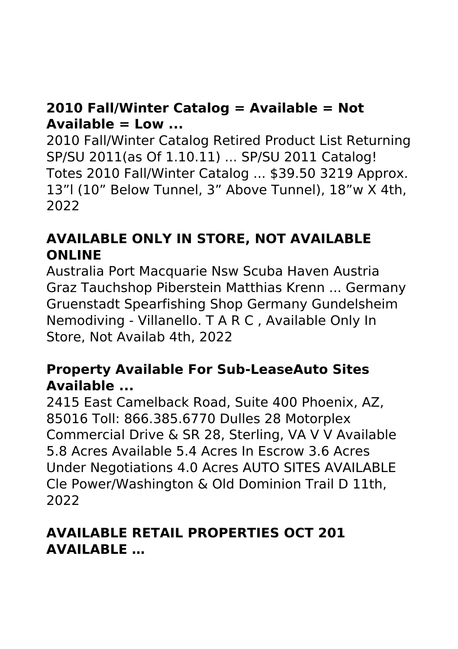# **2010 Fall/Winter Catalog = Available = Not Available = Low ...**

2010 Fall/Winter Catalog Retired Product List Returning SP/SU 2011(as Of 1.10.11) ... SP/SU 2011 Catalog! Totes 2010 Fall/Winter Catalog ... \$39.50 3219 Approx. 13"l (10" Below Tunnel, 3" Above Tunnel), 18"w X 4th, 2022

# **AVAILABLE ONLY IN STORE, NOT AVAILABLE ONLINE**

Australia Port Macquarie Nsw Scuba Haven Austria Graz Tauchshop Piberstein Matthias Krenn ... Germany Gruenstadt Spearfishing Shop Germany Gundelsheim Nemodiving - Villanello. T A R C , Available Only In Store, Not Availab 4th, 2022

## **Property Available For Sub-LeaseAuto Sites Available ...**

2415 East Camelback Road, Suite 400 Phoenix, AZ, 85016 Toll: 866.385.6770 Dulles 28 Motorplex Commercial Drive & SR 28, Sterling, VA V V Available 5.8 Acres Available 5.4 Acres In Escrow 3.6 Acres Under Negotiations 4.0 Acres AUTO SITES AVAILABLE Cle Power/Washington & Old Dominion Trail D 11th, 2022

## **AVAILABLE RETAIL PROPERTIES OCT 201 AVAILABLE …**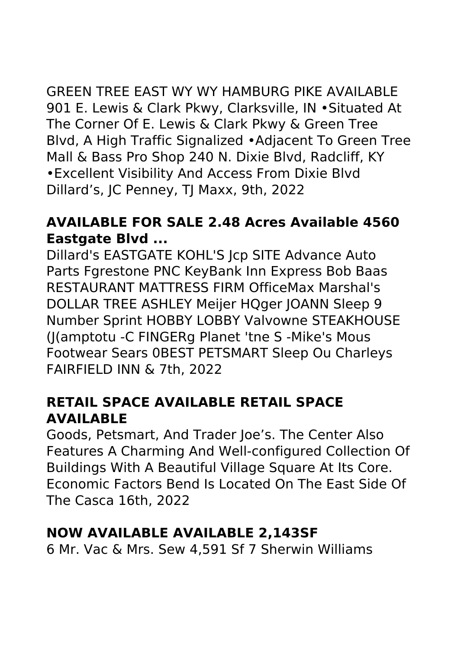GREEN TREE EAST WY WY HAMBURG PIKE AVAILABLE 901 E. Lewis & Clark Pkwy, Clarksville, IN •Situated At The Corner Of E. Lewis & Clark Pkwy & Green Tree Blvd, A High Traffic Signalized •Adjacent To Green Tree Mall & Bass Pro Shop 240 N. Dixie Blvd, Radcliff, KY •Excellent Visibility And Access From Dixie Blvd Dillard's, JC Penney, TJ Maxx, 9th, 2022

#### **AVAILABLE FOR SALE 2.48 Acres Available 4560 Eastgate Blvd ...**

Dillard's EASTGATE KOHL'S Jcp SITE Advance Auto Parts Fgrestone PNC KeyBank Inn Express Bob Baas RESTAURANT MATTRESS FIRM OfficeMax Marshal's DOLLAR TREE ASHLEY Meijer HQger JOANN Sleep 9 Number Sprint HOBBY LOBBY Valvowne STEAKHOUSE (J(amptotu -C FINGERg Planet 'tne S -Mike's Mous Footwear Sears 0BEST PETSMART Sleep Ou Charleys FAIRFIELD INN & 7th, 2022

## **RETAIL SPACE AVAILABLE RETAIL SPACE AVAILABLE**

Goods, Petsmart, And Trader Joe's. The Center Also Features A Charming And Well-configured Collection Of Buildings With A Beautiful Village Square At Its Core. Economic Factors Bend Is Located On The East Side Of The Casca 16th, 2022

## **NOW AVAILABLE AVAILABLE 2,143SF**

6 Mr. Vac & Mrs. Sew 4,591 Sf 7 Sherwin Williams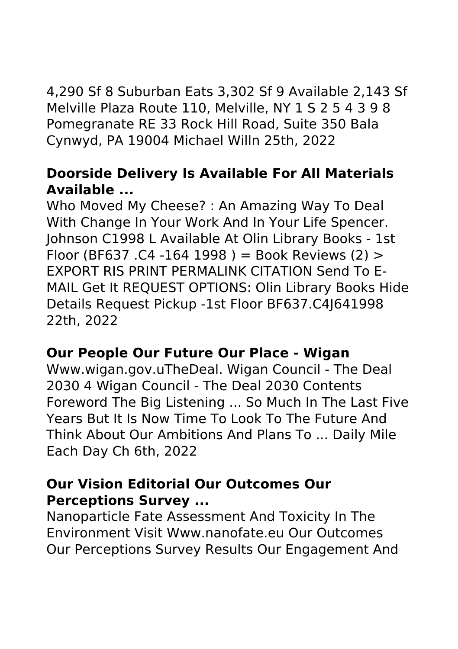4,290 Sf 8 Suburban Eats 3,302 Sf 9 Available 2,143 Sf Melville Plaza Route 110, Melville, NY 1 S 2 5 4 3 9 8 Pomegranate RE 33 Rock Hill Road, Suite 350 Bala Cynwyd, PA 19004 Michael Willn 25th, 2022

## **Doorside Delivery Is Available For All Materials Available ...**

Who Moved My Cheese? : An Amazing Way To Deal With Change In Your Work And In Your Life Spencer. Johnson C1998 L Available At Olin Library Books - 1st Floor (BF637.C4 -164 1998) = Book Reviews (2)  $>$ EXPORT RIS PRINT PERMALINK CITATION Send To E-MAIL Get It REQUEST OPTIONS: Olin Library Books Hide Details Request Pickup -1st Floor BF637.C4J641998 22th, 2022

#### **Our People Our Future Our Place - Wigan**

Www.wigan.gov.uTheDeal. Wigan Council - The Deal 2030 4 Wigan Council - The Deal 2030 Contents Foreword The Big Listening ... So Much In The Last Five Years But It Is Now Time To Look To The Future And Think About Our Ambitions And Plans To ... Daily Mile Each Day Ch 6th, 2022

### **Our Vision Editorial Our Outcomes Our Perceptions Survey ...**

Nanoparticle Fate Assessment And Toxicity In The Environment Visit Www.nanofate.eu Our Outcomes Our Perceptions Survey Results Our Engagement And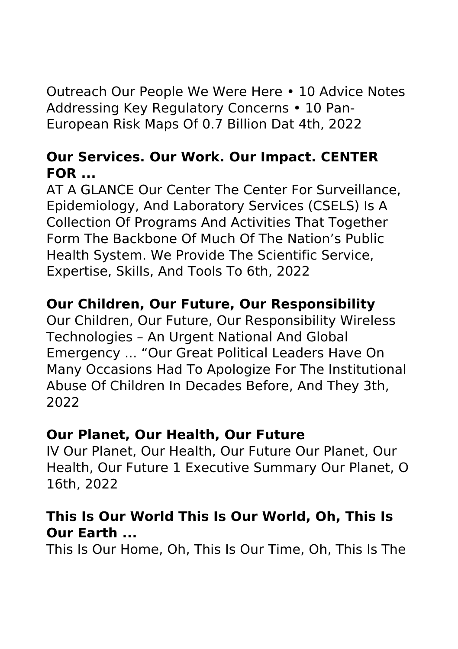Outreach Our People We Were Here • 10 Advice Notes Addressing Key Regulatory Concerns • 10 Pan-European Risk Maps Of 0.7 Billion Dat 4th, 2022

## **Our Services. Our Work. Our Impact. CENTER FOR ...**

AT A GLANCE Our Center The Center For Surveillance, Epidemiology, And Laboratory Services (CSELS) Is A Collection Of Programs And Activities That Together Form The Backbone Of Much Of The Nation's Public Health System. We Provide The Scientific Service, Expertise, Skills, And Tools To 6th, 2022

# **Our Children, Our Future, Our Responsibility**

Our Children, Our Future, Our Responsibility Wireless Technologies – An Urgent National And Global Emergency ... "Our Great Political Leaders Have On Many Occasions Had To Apologize For The Institutional Abuse Of Children In Decades Before, And They 3th, 2022

#### **Our Planet, Our Health, Our Future**

IV Our Planet, Our Health, Our Future Our Planet, Our Health, Our Future 1 Executive Summary Our Planet, O 16th, 2022

### **This Is Our World This Is Our World, Oh, This Is Our Earth ...**

This Is Our Home, Oh, This Is Our Time, Oh, This Is The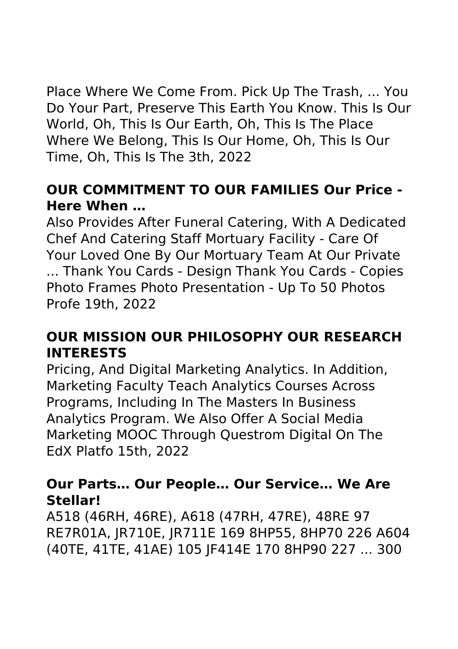Place Where We Come From. Pick Up The Trash, ... You Do Your Part, Preserve This Earth You Know. This Is Our World, Oh, This Is Our Earth, Oh, This Is The Place Where We Belong, This Is Our Home, Oh, This Is Our Time, Oh, This Is The 3th, 2022

# **OUR COMMITMENT TO OUR FAMILIES Our Price - Here When …**

Also Provides After Funeral Catering, With A Dedicated Chef And Catering Staff Mortuary Facility - Care Of Your Loved One By Our Mortuary Team At Our Private ... Thank You Cards - Design Thank You Cards - Copies Photo Frames Photo Presentation - Up To 50 Photos Profe 19th, 2022

# **OUR MISSION OUR PHILOSOPHY OUR RESEARCH INTERESTS**

Pricing, And Digital Marketing Analytics. In Addition, Marketing Faculty Teach Analytics Courses Across Programs, Including In The Masters In Business Analytics Program. We Also Offer A Social Media Marketing MOOC Through Questrom Digital On The EdX Platfo 15th, 2022

### **Our Parts… Our People… Our Service… We Are Stellar!**

A518 (46RH, 46RE), A618 (47RH, 47RE), 48RE 97 RE7R01A, JR710E, JR711E 169 8HP55, 8HP70 226 A604 (40TE, 41TE, 41AE) 105 JF414E 170 8HP90 227 ... 300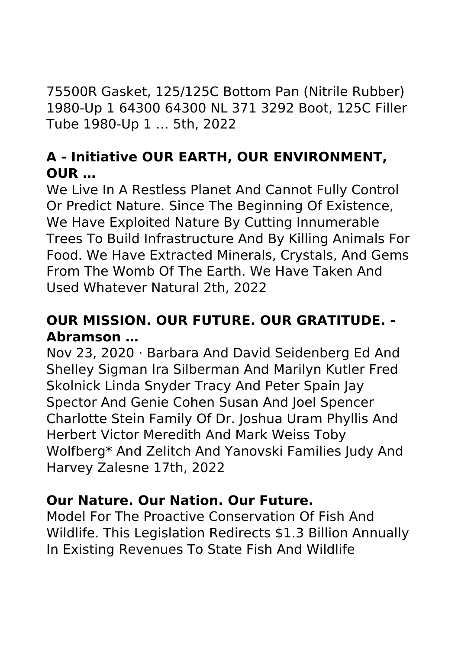75500R Gasket, 125/125C Bottom Pan (Nitrile Rubber) 1980-Up 1 64300 64300 NL 371 3292 Boot, 125C Filler Tube 1980-Up 1 … 5th, 2022

# **A - Initiative OUR EARTH, OUR ENVIRONMENT, OUR …**

We Live In A Restless Planet And Cannot Fully Control Or Predict Nature. Since The Beginning Of Existence, We Have Exploited Nature By Cutting Innumerable Trees To Build Infrastructure And By Killing Animals For Food. We Have Extracted Minerals, Crystals, And Gems From The Womb Of The Earth. We Have Taken And Used Whatever Natural 2th, 2022

# **OUR MISSION. OUR FUTURE. OUR GRATITUDE. - Abramson …**

Nov 23, 2020 · Barbara And David Seidenberg Ed And Shelley Sigman Ira Silberman And Marilyn Kutler Fred Skolnick Linda Snyder Tracy And Peter Spain Jay Spector And Genie Cohen Susan And Joel Spencer Charlotte Stein Family Of Dr. Joshua Uram Phyllis And Herbert Victor Meredith And Mark Weiss Toby Wolfberg\* And Zelitch And Yanovski Families Judy And Harvey Zalesne 17th, 2022

## **Our Nature. Our Nation. Our Future.**

Model For The Proactive Conservation Of Fish And Wildlife. This Legislation Redirects \$1.3 Billion Annually In Existing Revenues To State Fish And Wildlife